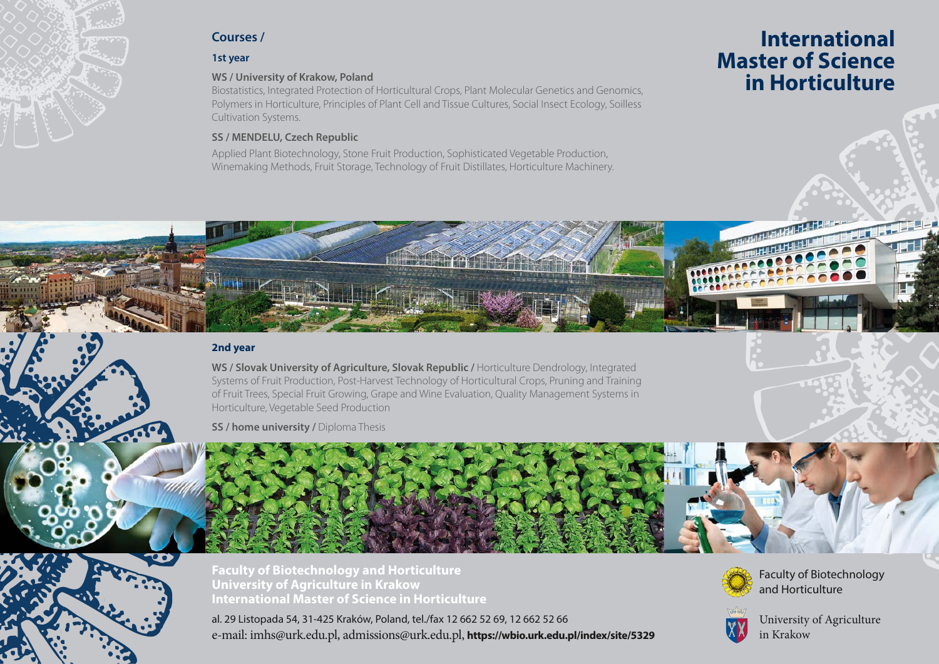

# **Courses /**

# **1st year**

## **WS / University of Krakow, Poland**

Biostatistics, Integrated Protection of Horticultural Crops, Plant Molecular Genetics and Genomics, Polymers in Horticulture, Principles of Plant Cell and Tissue Cultures, Social Insect Ecology, Soilless Cultivation Systems.

# **SS / MENDELU, Czech Republic**

Applied Plant Biotechnology, Stone Fruit Production, Sophisticated Vegetable Production, Winemaking Methods, Fruit Storage, Technology of Fruit Distillates, Horticulture Machinery.

# **International Master of Science in Horticulture**

## **2nd year**

**WS / Slovak University of Agriculture, Slovak Republic /** Horticulture Dendrology, Integrated Systems of Fruit Production, Post-Harvest Technology of Horticultural Crops, Pruning and Training of Fruit Trees, Special Fruit Growing, Grape and Wine Evaluation, Quality Management Systems in Horticulture, Vegetable Seed Production

**SS / home university / Diploma Thesis** 



**Faculty of Biotechnology and Horticulture University of Agriculture in Krakow International Master of Science in Horticulture**

al. 29 Listopada 54, 31-425 Kraków, Poland, tel./fax 12 662 52 69, 12 662 52 66 e-mail: imhs@urk.edu.pl, admissions@urk.edu.pl, **https://wbio.urk.edu.pl/index/site/5329**



Faculty of Biotechnology and Horticulture



University of Agriculture in Krakow